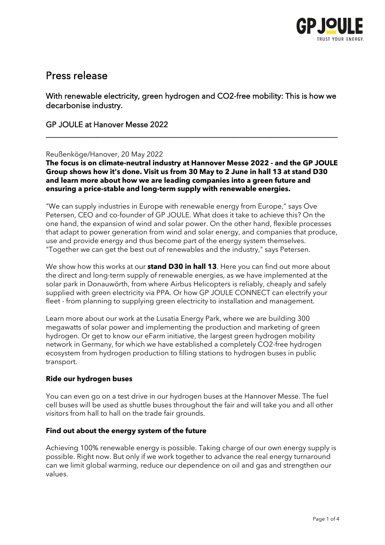

# Press release

With renewable electricity, green hydrogen and CO2-free mobility: This is how we decarbonise industry.

\_\_\_\_\_\_\_\_\_\_\_\_\_\_\_\_\_\_\_\_\_\_\_\_\_\_\_\_\_\_\_\_\_\_\_\_\_\_\_\_\_\_\_\_\_\_\_\_\_\_\_\_\_\_\_\_\_\_\_\_\_\_\_\_\_\_\_\_\_\_\_\_\_\_\_

### GP JOULE at Hanover Messe 2022

### Reußenköge/Hanover, 20 May 2022

**The focus is on climate-neutral industry at Hannover Messe 2022 - and the GP JOULE Group shows how it's done. Visit us from 30 May to 2 June in hall 13 at stand D30 and learn more about how we are leading companies into a green future and ensuring a price-stable and long-term supply with renewable energies.** 

"We can supply industries in Europe with renewable energy from Europe," says Ove Petersen, CEO and co-founder of GP JOULE. What does it take to achieve this? On the one hand, the expansion of wind and solar power. On the other hand, flexible processes that adapt to power generation from wind and solar energy, and companies that produce, use and provide energy and thus become part of the energy system themselves. "Together we can get the best out of renewables and the industry," says Petersen.

We show how this works at our **stand D30 in hall 13**. Here you can find out more about the direct and long-term supply of renewable energies, as we have implemented at the solar park in Donauwörth, from where Airbus Helicopters is reliably, cheaply and safely supplied with green electricity via PPA. Or how GP JOULE CONNECT can electrify your fleet - from planning to supplying green electricity to installation and management.

Learn more about our work at the Lusatia Energy Park, where we are building 300 megawatts of solar power and implementing the production and marketing of green hydrogen. Or get to know our eFarm initiative, the largest green hydrogen mobility network in Germany, for which we have established a completely CO2-free hydrogen ecosystem from hydrogen production to filling stations to hydrogen buses in public transport.

### **Ride our hydrogen buses**

You can even go on a test drive in our hydrogen buses at the Hannover Messe. The fuel cell buses will be used as shuttle buses throughout the fair and will take you and all other visitors from hall to hall on the trade fair grounds.

### **Find out about the energy system of the future**

Achieving 100% renewable energy is possible. Taking charge of our own energy supply is possible. Right now. But only if we work together to advance the real energy turnaround can we limit global warming, reduce our dependence on oil and gas and strengthen our values.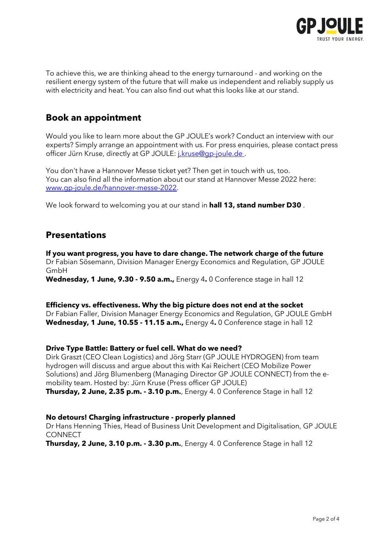

To achieve this, we are thinking ahead to the energy turnaround - and working on the resilient energy system of the future that will make us independent and reliably supply us with electricity and heat. You can also find out what this looks like at our stand.

## **Book an appointment**

Would you like to learn more about the GP JOULE's work? Conduct an interview with our experts? Simply arrange an appointment with us. For press enquiries, please contact press officer Jürn Kruse, directly at GP JOULE[: j.kruse@gp-joule.de .](mailto:j.kruse@gp-joule.de)

You don't have a Hannover Messe ticket yet? Then get in touch with us, too. You can also find all the information about our stand at Hannover Messe 2022 here: [www.gp-joule.de/hannover-messe-2022.](http://www.gp-joule.de/hannover-messe-2022)

We look forward to welcoming you at our stand in **hall 13, stand number D30** .

## **Presentations**

**If you want progress, you have to dare change. The network charge of the future** Dr Fabian Sösemann, Division Manager Energy Economics and Regulation, GP JOULE GmbH **Wednesday, 1 June, 9.30 - 9.50 a.m.,** Energy 4**.** 0 Conference stage in hall 12

**Efficiency vs. effectiveness. Why the big picture does not end at the socket** Dr Fabian Faller, Division Manager Energy Economics and Regulation, GP JOULE GmbH **Wednesday, 1 June, 10.55 - 11.15 a.m.,** Energy 4**.** 0 Conference stage in hall 12

### **Drive Type Battle: Battery or fuel cell. What do we need?**

Dirk Graszt (CEO Clean Logistics) and Jörg Starr (GP JOULE HYDROGEN) from team hydrogen will discuss and argue about this with Kai Reichert (CEO Mobilize Power Solutions) and Jörg Blumenberg (Managing Director GP JOULE CONNECT) from the emobility team. Hosted by: Jürn Kruse (Press officer GP JOULE) **Thursday, 2 June, 2.35 p.m. - 3.10 p.m.**, Energy 4. 0 Conference Stage in hall 12

### **No detours! Charging infrastructure - properly planned**

Dr Hans Henning Thies, Head of Business Unit Development and Digitalisation, GP JOULE **CONNECT** 

**Thursday, 2 June, 3.10 p.m. - 3.30 p.m.**, Energy 4. 0 Conference Stage in hall 12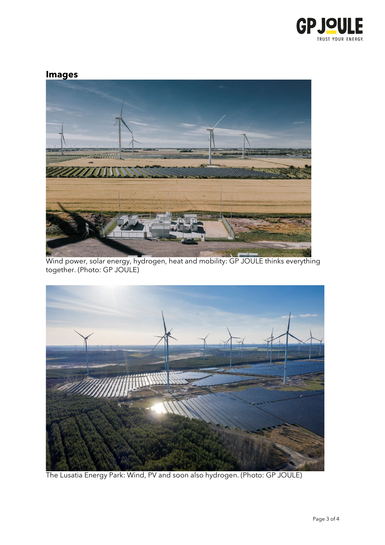

# **Images**



Wind power, solar energy, hydrogen, heat and mobility: GP JOULE thinks everything together. (Photo: GP JOULE)



The Lusatia Energy Park: Wind, PV and soon also hydrogen. (Photo: GP JOULE)